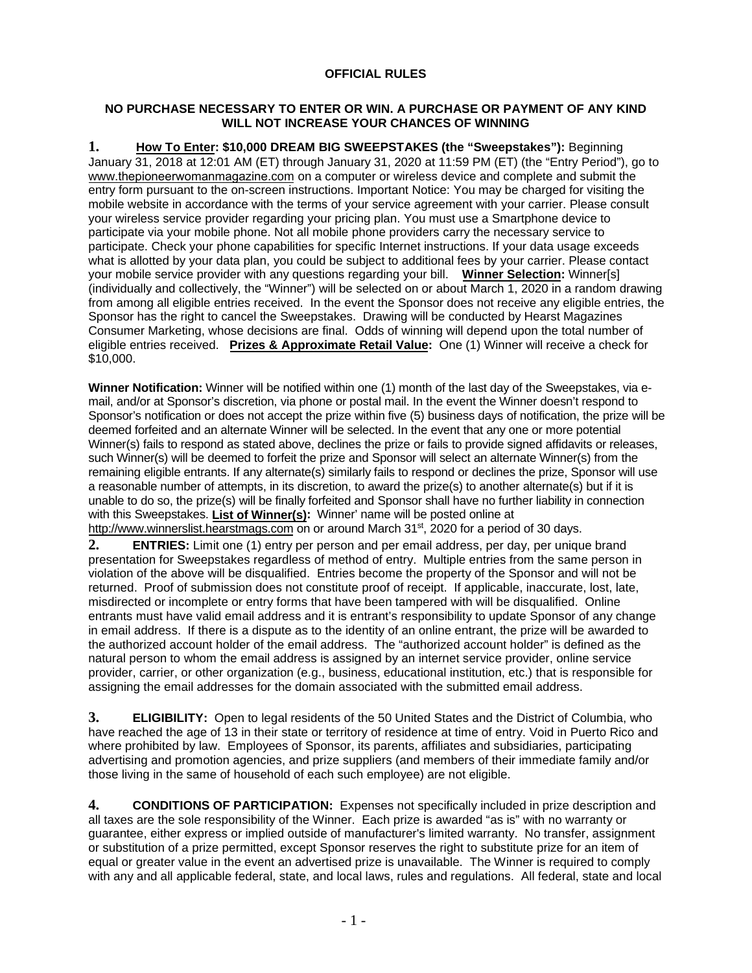## **OFFICIAL RULES**

## **NO PURCHASE NECESSARY TO ENTER OR WIN. A PURCHASE OR PAYMENT OF ANY KIND WILL NOT INCREASE YOUR CHANCES OF WINNING**

**1. How To Enter: \$10,000 DREAM BIG SWEEPSTAKES (the "Sweepstakes"):** Beginning January 31, 2018 at 12:01 AM (ET) through January 31, 2020 at 11:59 PM (ET) (the "Entry Period"), go to www.[thepioneerwomanm](http://www.cosmopolitan.com/)agazine.com on a computer or wireless device and complete and submit the entry form pursuant to the on-screen instructions. Important Notice: You may be charged for visiting the mobile website in accordance with the terms of your service agreement with your carrier. Please consult your wireless service provider regarding your pricing plan. You must use a Smartphone device to participate via your mobile phone. Not all mobile phone providers carry the necessary service to participate. Check your phone capabilities for specific Internet instructions. If your data usage exceeds what is allotted by your data plan, you could be subject to additional fees by your carrier. Please contact your mobile service provider with any questions regarding your bill. **Winner Selection:** Winner[s] (individually and collectively, the "Winner") will be selected on or about March 1, 2020 in a random drawing from among all eligible entries received. In the event the Sponsor does not receive any eligible entries, the Sponsor has the right to cancel the Sweepstakes. Drawing will be conducted by Hearst Magazines Consumer Marketing, whose decisions are final. Odds of winning will depend upon the total number of eligible entries received. **Prizes & Approximate Retail Value:** One (1) Winner will receive a check for \$10,000.

**Winner Notification:** Winner will be notified within one (1) month of the last day of the Sweepstakes, via email, and/or at Sponsor's discretion, via phone or postal mail. In the event the Winner doesn't respond to Sponsor's notification or does not accept the prize within five (5) business days of notification, the prize will be deemed forfeited and an alternate Winner will be selected. In the event that any one or more potential Winner(s) fails to respond as stated above, declines the prize or fails to provide signed affidavits or releases, such Winner(s) will be deemed to forfeit the prize and Sponsor will select an alternate Winner(s) from the remaining eligible entrants. If any alternate(s) similarly fails to respond or declines the prize, Sponsor will use a reasonable number of attempts, in its discretion, to award the prize(s) to another alternate(s) but if it is unable to do so, the prize(s) will be finally forfeited and Sponsor shall have no further liability in connection [with this Sweepstakes.](http://www.winnerslist.hearstmags.com/) **List of Winner(s):** Winner' name will be posted online at

http://www.winnerslist.hearstmags.com on or around March 31<sup>st</sup>, 2020 for a period of 30 days.

**2. ENTRIES:** Limit one (1) entry per person and per email address, per day, per unique brand presentation for Sweepstakes regardless of method of entry. Multiple entries from the same person in violation of the above will be disqualified. Entries become the property of the Sponsor and will not be returned. Proof of submission does not constitute proof of receipt. If applicable, inaccurate, lost, late, misdirected or incomplete or entry forms that have been tampered with will be disqualified. Online entrants must have valid email address and it is entrant's responsibility to update Sponsor of any change in email address. If there is a dispute as to the identity of an online entrant, the prize will be awarded to the authorized account holder of the email address. The "authorized account holder" is defined as the natural person to whom the email address is assigned by an internet service provider, online service provider, carrier, or other organization (e.g., business, educational institution, etc.) that is responsible for assigning the email addresses for the domain associated with the submitted email address.

**3. ELIGIBILITY:** Open to legal residents of the 50 United States and the District of Columbia, who have reached the age of 13 in their state or territory of residence at time of entry. Void in Puerto Rico and where prohibited by law. Employees of Sponsor, its parents, affiliates and subsidiaries, participating advertising and promotion agencies, and prize suppliers (and members of their immediate family and/or those living in the same of household of each such employee) are not eligible.

**4. CONDITIONS OF PARTICIPATION:** Expenses not specifically included in prize description and all taxes are the sole responsibility of the Winner. Each prize is awarded "as is" with no warranty or guarantee, either express or implied outside of manufacturer's limited warranty. No transfer, assignment or substitution of a prize permitted, except Sponsor reserves the right to substitute prize for an item of equal or greater value in the event an advertised prize is unavailable. The Winner is required to comply with any and all applicable federal, state, and local laws, rules and regulations. All federal, state and local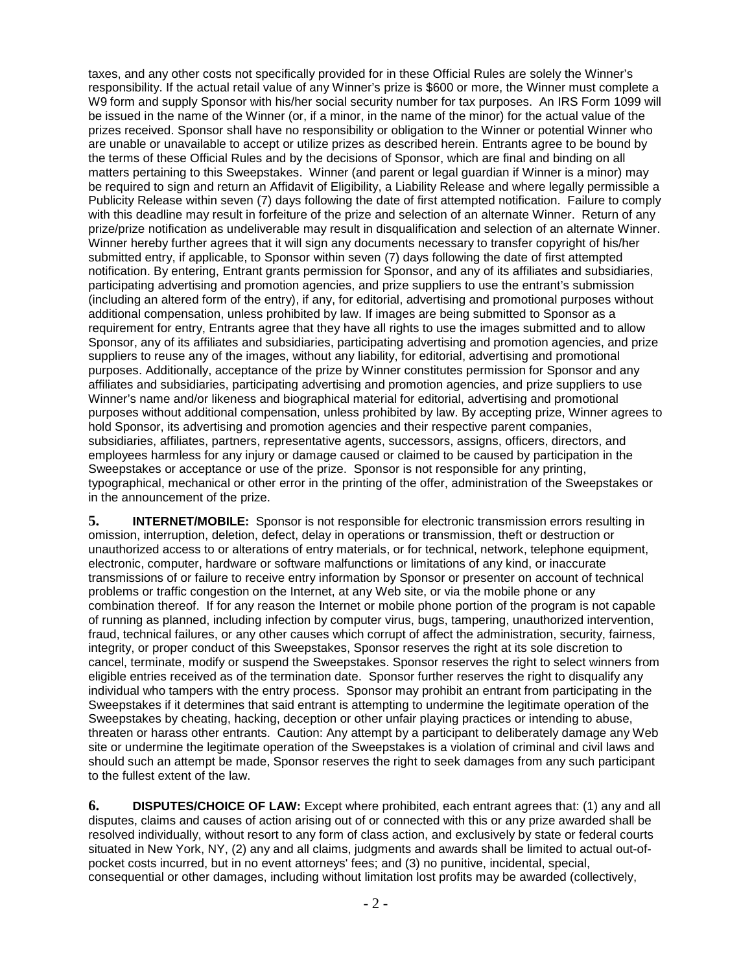taxes, and any other costs not specifically provided for in these Official Rules are solely the Winner's responsibility. If the actual retail value of any Winner's prize is \$600 or more, the Winner must complete a W9 form and supply Sponsor with his/her social security number for tax purposes. An IRS Form 1099 will be issued in the name of the Winner (or, if a minor, in the name of the minor) for the actual value of the prizes received. Sponsor shall have no responsibility or obligation to the Winner or potential Winner who are unable or unavailable to accept or utilize prizes as described herein. Entrants agree to be bound by the terms of these Official Rules and by the decisions of Sponsor, which are final and binding on all matters pertaining to this Sweepstakes. Winner (and parent or legal guardian if Winner is a minor) may be required to sign and return an Affidavit of Eligibility, a Liability Release and where legally permissible a Publicity Release within seven (7) days following the date of first attempted notification. Failure to comply with this deadline may result in forfeiture of the prize and selection of an alternate Winner. Return of any prize/prize notification as undeliverable may result in disqualification and selection of an alternate Winner. Winner hereby further agrees that it will sign any documents necessary to transfer copyright of his/her submitted entry, if applicable, to Sponsor within seven (7) days following the date of first attempted notification. By entering, Entrant grants permission for Sponsor, and any of its affiliates and subsidiaries, participating advertising and promotion agencies, and prize suppliers to use the entrant's submission (including an altered form of the entry), if any, for editorial, advertising and promotional purposes without additional compensation, unless prohibited by law. If images are being submitted to Sponsor as a requirement for entry, Entrants agree that they have all rights to use the images submitted and to allow Sponsor, any of its affiliates and subsidiaries, participating advertising and promotion agencies, and prize suppliers to reuse any of the images, without any liability, for editorial, advertising and promotional purposes. Additionally, acceptance of the prize by Winner constitutes permission for Sponsor and any affiliates and subsidiaries, participating advertising and promotion agencies, and prize suppliers to use Winner's name and/or likeness and biographical material for editorial, advertising and promotional purposes without additional compensation, unless prohibited by law. By accepting prize, Winner agrees to hold Sponsor, its advertising and promotion agencies and their respective parent companies, subsidiaries, affiliates, partners, representative agents, successors, assigns, officers, directors, and employees harmless for any injury or damage caused or claimed to be caused by participation in the Sweepstakes or acceptance or use of the prize. Sponsor is not responsible for any printing, typographical, mechanical or other error in the printing of the offer, administration of the Sweepstakes or in the announcement of the prize.

**5. INTERNET/MOBILE:** Sponsor is not responsible for electronic transmission errors resulting in omission, interruption, deletion, defect, delay in operations or transmission, theft or destruction or unauthorized access to or alterations of entry materials, or for technical, network, telephone equipment, electronic, computer, hardware or software malfunctions or limitations of any kind, or inaccurate transmissions of or failure to receive entry information by Sponsor or presenter on account of technical problems or traffic congestion on the Internet, at any Web site, or via the mobile phone or any combination thereof. If for any reason the Internet or mobile phone portion of the program is not capable of running as planned, including infection by computer virus, bugs, tampering, unauthorized intervention, fraud, technical failures, or any other causes which corrupt of affect the administration, security, fairness, integrity, or proper conduct of this Sweepstakes, Sponsor reserves the right at its sole discretion to cancel, terminate, modify or suspend the Sweepstakes. Sponsor reserves the right to select winners from eligible entries received as of the termination date. Sponsor further reserves the right to disqualify any individual who tampers with the entry process. Sponsor may prohibit an entrant from participating in the Sweepstakes if it determines that said entrant is attempting to undermine the legitimate operation of the Sweepstakes by cheating, hacking, deception or other unfair playing practices or intending to abuse, threaten or harass other entrants. Caution: Any attempt by a participant to deliberately damage any Web site or undermine the legitimate operation of the Sweepstakes is a violation of criminal and civil laws and should such an attempt be made, Sponsor reserves the right to seek damages from any such participant to the fullest extent of the law.

**6. DISPUTES/CHOICE OF LAW:** Except where prohibited, each entrant agrees that: (1) any and all disputes, claims and causes of action arising out of or connected with this or any prize awarded shall be resolved individually, without resort to any form of class action, and exclusively by state or federal courts situated in New York, NY, (2) any and all claims, judgments and awards shall be limited to actual out-ofpocket costs incurred, but in no event attorneys' fees; and (3) no punitive, incidental, special, consequential or other damages, including without limitation lost profits may be awarded (collectively,